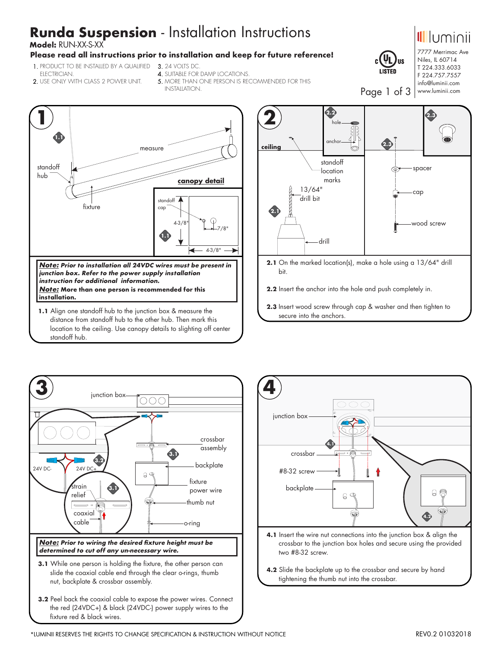# **Runda Suspension** - Installation Instructions

 **Model:** RUN-XX-S-XX

### **Please read all instructions prior to installation and keep for future reference!**

- 1.PRODUCT TO BE INSTALLED BY A QUALIFIED 3.24 VOLTS DC. ELECTRICIAN.
	- 4. SUITABLE FOR DAMP LOCATIONS
- 2.USE ONLY WITH CLASS 2 POWER UNIT.
- 5. MORE THAN ONE PERSON IS RECOMMENDED FOR THIS
	- INSTALLATION.



 distance from standoff hub to the other hub. Then mark this location to the ceiling. Use canopy details to slighting off center standoff hub.



- **2.1** On the marked location(s), make a hole using a 13/64" drill bit.
- **2.2** Insert the anchor into the hole and push completely in.
- **2.3** Insert wood screw through cap & washer and then tighten to secure into the anchors.



**3.2** Peel back the coaxial cable to expose the power wires. Connect the red (24VDC+) & black (24VDC-) power supply wires to the fixture red & black wires.



- crossbar to the junction box holes and secure using the provided two #8-32 screw.
- **4.2** Slide the backplate up to the crossbar and secure by hand tightening the thumb nut into the crossbar.

**US** 

T 224.333.6033 F 224.757.7557 info@luminii.com www.luminii.com

Page 1 of 3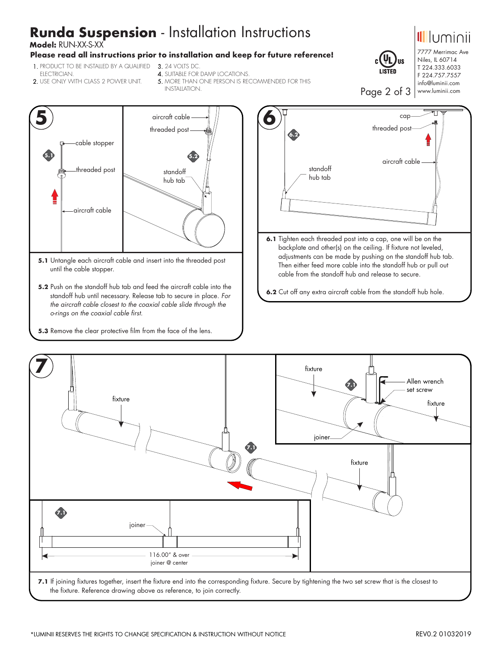# **Runda Suspension** - Installation Instructions

 **Model:** RUN-XX-S-XX

#### **Please read all instructions prior to installation and keep for future reference!**

- 1.PRODUCT TO BE INSTALLED BY A QUALIFIED 3.24 VOLTS DC. ELECTRICIAN.
- 2.USE ONLY WITH CLASS 2 POWER UNIT.
- 
- 4.SUITABLE FOR DAMP LOCATIONS.
- 5. MORE THAN ONE PERSON IS RECOMMENDED FOR THIS INSTALLATION.



- **5.1** Untangle each aircraft cable and insert into the threaded post until the cable stopper.
- **5.2** Push on the standoff hub tab and feed the aircraft cable into the standoff hub until necessary. Release tab to secure in place. *For the aircraft cable closest to the coaxial cable slide through the o-rings on the coaxial cable first.*
- **5.3** Remove the clear protective film from the face of the lens.



**6.2** Cut off any extra aircraft cable from the standoff hub hole.



the fixture. Reference drawing above as reference, to join correctly.



Niles, IL 60714 T 224.333.6033 F 224.757.7557 info@luminii.com www.luminii.com

Jus